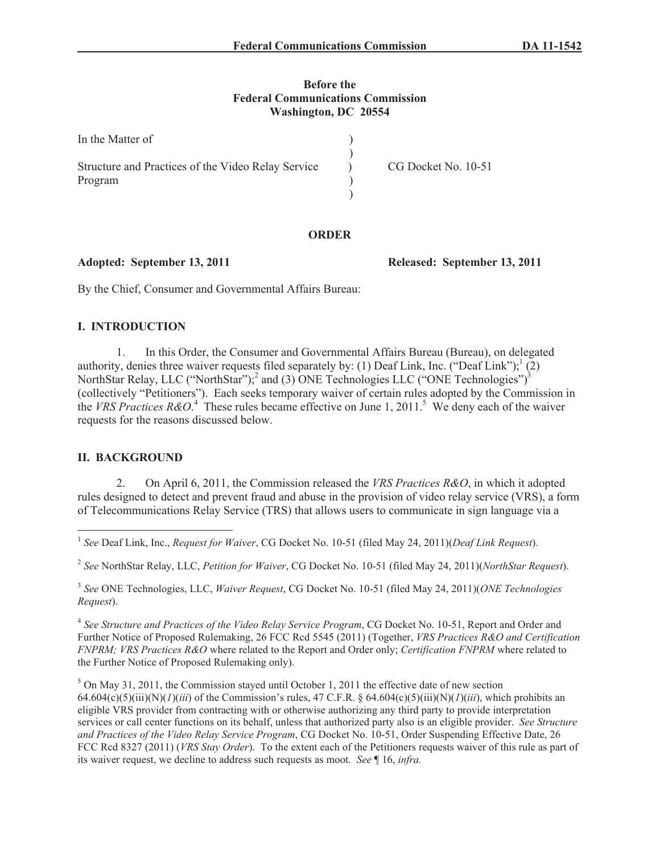#### **Before the Federal Communications Commission Washington, DC 20554**

| In the Matter of                                              |                     |
|---------------------------------------------------------------|---------------------|
| Structure and Practices of the Video Relay Service<br>Program | CG Docket No. 10-51 |
|                                                               |                     |
|                                                               |                     |

## **ORDER**

**Adopted: September 13, 2011 Released: September 13, 2011**

By the Chief, Consumer and Governmental Affairs Bureau:

## **I. INTRODUCTION**

1. In this Order, the Consumer and Governmental Affairs Bureau (Bureau), on delegated authority, denies three waiver requests filed separately by: (1) Deaf Link, Inc. ("Deaf Link");  $(2)$ NorthStar Relay, LLC ("NorthStar");<sup>2</sup> and (3) ONE Technologies LLC ("ONE Technologies")<sup>3</sup> (collectively "Petitioners"). Each seeks temporary waiver of certain rules adopted by the Commission in the *VRS Practices R&O*.<sup>4</sup> These rules became effective on June 1, 2011.<sup>5</sup> We deny each of the waiver requests for the reasons discussed below.

## **II. BACKGROUND**

2. On April 6, 2011, the Commission released the *VRS Practices R&O*, in which it adopted rules designed to detect and prevent fraud and abuse in the provision of video relay service (VRS), a form of Telecommunications Relay Service (TRS) that allows users to communicate in sign language via a

2 *See* NorthStar Relay, LLC, *Petition for Waiver*, CG Docket No. 10-51 (filed May 24, 2011)(*NorthStar Request*).

3 *See* ONE Technologies, LLC, *Waiver Request*, CG Docket No. 10-51 (filed May 24, 2011)(*ONE Technologies Request*).

4 *See Structure and Practices of the Video Relay Service Program*, CG Docket No. 10-51, Report and Order and Further Notice of Proposed Rulemaking, 26 FCC Rcd 5545 (2011) (Together, *VRS Practices R&O and Certification FNPRM; VRS Practices R&O* where related to the Report and Order only; *Certification FNPRM* where related to the Further Notice of Proposed Rulemaking only).

<sup>5</sup> On May 31, 2011, the Commission stayed until October 1, 2011 the effective date of new section 64.604(c)(5)(iii)(N)(*1*)(*iii*) of the Commission's rules, 47 C.F.R. § 64.604(c)(5)(iii)(N)(*1*)(*iii*), which prohibits an eligible VRS provider from contracting with or otherwise authorizing any third party to provide interpretation services or call center functions on its behalf, unless that authorized party also is an eligible provider. *See Structure and Practices of the Video Relay Service Program*, CG Docket No. 10-51, Order Suspending Effective Date, 26 FCC Rcd 8327 (2011) (*VRS Stay Order*). To the extent each of the Petitioners requests waiver of this rule as part of its waiver request, we decline to address such requests as moot. *See* ¶ 16, *infra.*

<sup>1</sup> *See* Deaf Link, Inc., *Request for Waiver*, CG Docket No. 10-51 (filed May 24, 2011)(*Deaf Link Request*).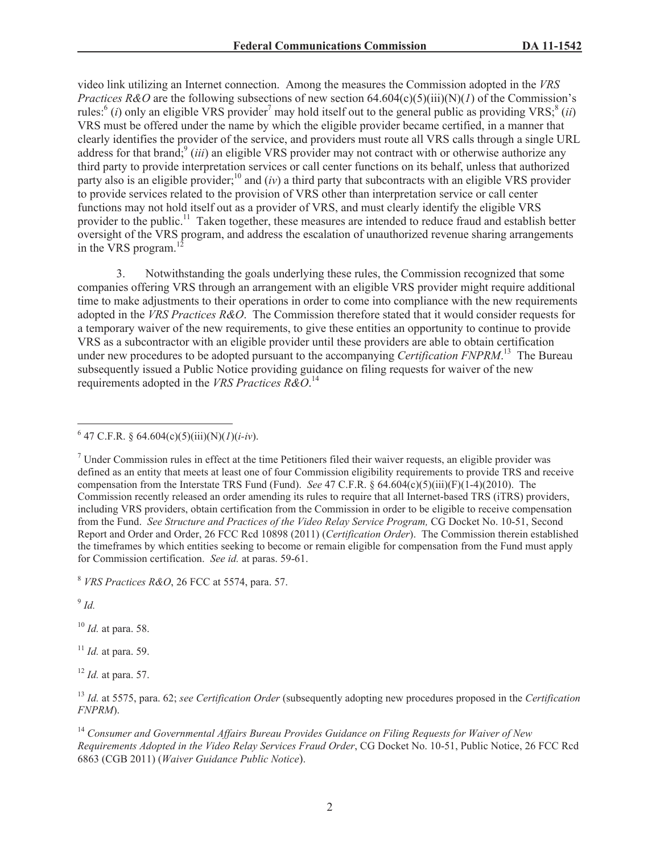video link utilizing an Internet connection. Among the measures the Commission adopted in the *VRS Practices R&O* are the following subsections of new section  $64.604(c)(5)(iii)(N)(I)$  of the Commission's rules:<sup>6</sup> (*i*) only an eligible VRS provider<sup>7</sup> may hold itself out to the general public as providing VRS;<sup>8</sup> (*ii*) VRS must be offered under the name by which the eligible provider became certified, in a manner that clearly identifies the provider of the service, and providers must route all VRS calls through a single URL address for that brand;<sup>9</sup> *(iii)* an eligible VRS provider may not contract with or otherwise authorize any third party to provide interpretation services or call center functions on its behalf, unless that authorized party also is an eligible provider;<sup>10</sup> and (*iv*) a third party that subcontracts with an eligible VRS provider to provide services related to the provision of VRS other than interpretation service or call center functions may not hold itself out as a provider of VRS, and must clearly identify the eligible VRS provider to the public.<sup>11</sup> Taken together, these measures are intended to reduce fraud and establish better oversight of the VRS program, and address the escalation of unauthorized revenue sharing arrangements in the VRS program. $<sup>1</sup>$ </sup>

3. Notwithstanding the goals underlying these rules, the Commission recognized that some companies offering VRS through an arrangement with an eligible VRS provider might require additional time to make adjustments to their operations in order to come into compliance with the new requirements adopted in the *VRS Practices R&O*. The Commission therefore stated that it would consider requests for a temporary waiver of the new requirements, to give these entities an opportunity to continue to provide VRS as a subcontractor with an eligible provider until these providers are able to obtain certification under new procedures to be adopted pursuant to the accompanying *Certification FNPRM*. <sup>13</sup> The Bureau subsequently issued a Public Notice providing guidance on filing requests for waiver of the new requirements adopted in the *VRS Practices R&O*. 14

<sup>7</sup> Under Commission rules in effect at the time Petitioners filed their waiver requests, an eligible provider was defined as an entity that meets at least one of four Commission eligibility requirements to provide TRS and receive compensation from the Interstate TRS Fund (Fund). *See* 47 C.F.R. § 64.604(c)(5)(iii)(F)(1-4)(2010). The Commission recently released an order amending its rules to require that all Internet-based TRS (iTRS) providers, including VRS providers, obtain certification from the Commission in order to be eligible to receive compensation from the Fund. *See Structure and Practices of the Video Relay Service Program,* CG Docket No. 10-51, Second Report and Order and Order, 26 FCC Rcd 10898 (2011) (*Certification Order*). The Commission therein established the timeframes by which entities seeking to become or remain eligible for compensation from the Fund must apply for Commission certification. *See id.* at paras. 59-61.

<sup>8</sup> *VRS Practices R&O*, 26 FCC at 5574, para. 57.

9 *Id.*

<sup>10</sup> *Id.* at para. 58.

<sup>11</sup> *Id.* at para. 59.

<sup>12</sup> *Id.* at para. 57.

<sup>14</sup> *Consumer and Governmental Affairs Bureau Provides Guidance on Filing Requests for Waiver of New Requirements Adopted in the Video Relay Services Fraud Order*, CG Docket No. 10-51, Public Notice, 26 FCC Rcd 6863 (CGB 2011) (*Waiver Guidance Public Notice*).

<sup>6</sup> 47 C.F.R. § 64.604(c)(5)(iii)(N)(*1*)(*i-iv*).

<sup>13</sup> *Id.* at 5575, para. 62; *see Certification Order* (subsequently adopting new procedures proposed in the *Certification FNPRM*).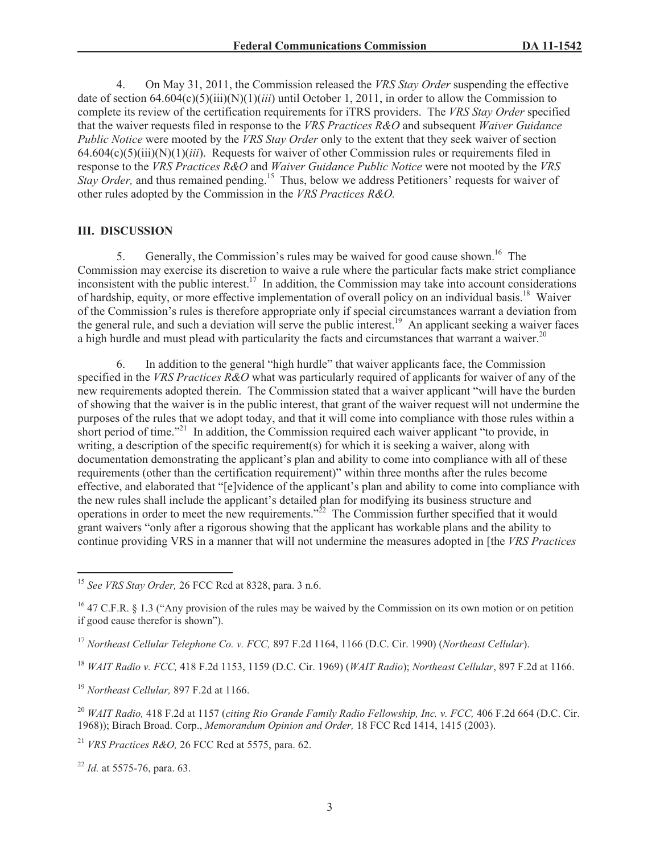4. On May 31, 2011, the Commission released the *VRS Stay Order* suspending the effective date of section  $64.604(c)(5)(iii)(N)(1)(iii)$  until October 1, 2011, in order to allow the Commission to complete its review of the certification requirements for iTRS providers. The *VRS Stay Order* specified that the waiver requests filed in response to the *VRS Practices R&O* and subsequent *Waiver Guidance Public Notice* were mooted by the *VRS Stay Order* only to the extent that they seek waiver of section 64.604(c)(5)(iii)(N)(1)(*iii*). Requests for waiver of other Commission rules or requirements filed in response to the *VRS Practices R&O* and *Waiver Guidance Public Notice* were not mooted by the *VRS Stay Order*, and thus remained pending.<sup>15</sup> Thus, below we address Petitioners' requests for waiver of other rules adopted by the Commission in the *VRS Practices R&O.*

#### **III. DISCUSSION**

5. Generally, the Commission's rules may be waived for good cause shown.<sup>16</sup> The Commission may exercise its discretion to waive a rule where the particular facts make strict compliance inconsistent with the public interest.<sup>17</sup> In addition, the Commission may take into account considerations of hardship, equity, or more effective implementation of overall policy on an individual basis.<sup>18</sup> Waiver of the Commission's rules is therefore appropriate only if special circumstances warrant a deviation from the general rule, and such a deviation will serve the public interest.<sup>19</sup> An applicant seeking a waiver faces a high hurdle and must plead with particularity the facts and circumstances that warrant a waiver.<sup>20</sup>

6. In addition to the general "high hurdle" that waiver applicants face, the Commission specified in the *VRS Practices R&O* what was particularly required of applicants for waiver of any of the new requirements adopted therein. The Commission stated that a waiver applicant "will have the burden of showing that the waiver is in the public interest, that grant of the waiver request will not undermine the purposes of the rules that we adopt today, and that it will come into compliance with those rules within a short period of time."<sup>21</sup> In addition, the Commission required each waiver applicant "to provide, in writing, a description of the specific requirement(s) for which it is seeking a waiver, along with documentation demonstrating the applicant's plan and ability to come into compliance with all of these requirements (other than the certification requirement)" within three months after the rules become effective, and elaborated that "[e]vidence of the applicant's plan and ability to come into compliance with the new rules shall include the applicant's detailed plan for modifying its business structure and operations in order to meet the new requirements."<sup>22</sup> The Commission further specified that it would grant waivers "only after a rigorous showing that the applicant has workable plans and the ability to continue providing VRS in a manner that will not undermine the measures adopted in [the *VRS Practices* 

<sup>21</sup> *VRS Practices R&O,* 26 FCC Rcd at 5575, para. 62.

<sup>22</sup> *Id.* at 5575-76, para. 63.

<sup>15</sup> *See VRS Stay Order,* 26 FCC Rcd at 8328, para. 3 n.6.

<sup>&</sup>lt;sup>16</sup> 47 C.F.R. § 1.3 ("Any provision of the rules may be waived by the Commission on its own motion or on petition if good cause therefor is shown").

<sup>17</sup> *Northeast Cellular Telephone Co. v. FCC,* 897 F.2d 1164, 1166 (D.C. Cir. 1990) (*Northeast Cellular*).

<sup>18</sup> *WAIT Radio v. FCC,* 418 F.2d 1153, 1159 (D.C. Cir. 1969) (*WAIT Radio*); *Northeast Cellular*, 897 F.2d at 1166.

<sup>19</sup> *Northeast Cellular,* 897 F.2d at 1166.

<sup>20</sup> *WAIT Radio,* 418 F.2d at 1157 (*citing Rio Grande Family Radio Fellowship, Inc. v. FCC,* 406 F.2d 664 (D.C. Cir. 1968)); Birach Broad. Corp., *Memorandum Opinion and Order,* 18 FCC Rcd 1414, 1415 (2003).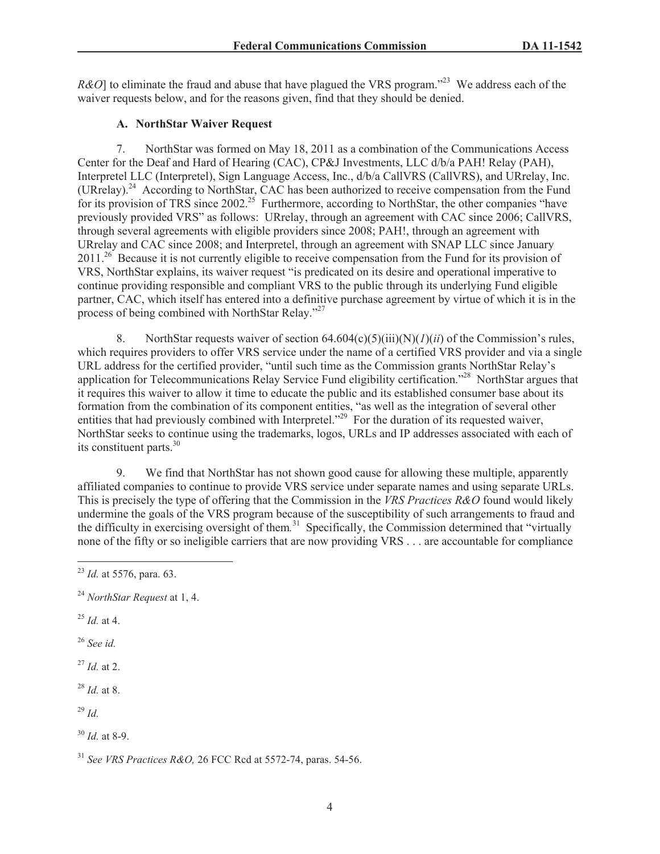*R&O*] to eliminate the fraud and abuse that have plagued the VRS program.<sup>223</sup> We address each of the waiver requests below, and for the reasons given, find that they should be denied.

# **A. NorthStar Waiver Request**

7. NorthStar was formed on May 18, 2011 as a combination of the Communications Access Center for the Deaf and Hard of Hearing (CAC), CP&J Investments, LLC d/b/a PAH! Relay (PAH), Interpretel LLC (Interpretel), Sign Language Access, Inc., d/b/a CallVRS (CallVRS), and URrelay, Inc. (URrelay).<sup>24</sup> According to NorthStar, CAC has been authorized to receive compensation from the Fund for its provision of TRS since 2002.<sup>25</sup> Furthermore, according to NorthStar, the other companies "have previously provided VRS" as follows: URrelay, through an agreement with CAC since 2006; CallVRS, through several agreements with eligible providers since 2008; PAH!, through an agreement with URrelay and CAC since 2008; and Interpretel, through an agreement with SNAP LLC since January 2011.<sup>26</sup> Because it is not currently eligible to receive compensation from the Fund for its provision of VRS, NorthStar explains, its waiver request "is predicated on its desire and operational imperative to continue providing responsible and compliant VRS to the public through its underlying Fund eligible partner, CAC, which itself has entered into a definitive purchase agreement by virtue of which it is in the process of being combined with NorthStar Relay."<sup>27</sup>

8. NorthStar requests waiver of section 64.604(c)(5)(iii)(N)(*1*)(*ii*) of the Commission's rules, which requires providers to offer VRS service under the name of a certified VRS provider and via a single URL address for the certified provider, "until such time as the Commission grants NorthStar Relay's application for Telecommunications Relay Service Fund eligibility certification."<sup>28</sup> NorthStar argues that it requires this waiver to allow it time to educate the public and its established consumer base about its formation from the combination of its component entities, "as well as the integration of several other entities that had previously combined with Interpretel."<sup>29</sup> For the duration of its requested waiver, NorthStar seeks to continue using the trademarks, logos, URLs and IP addresses associated with each of its constituent parts.<sup>30</sup>

9. We find that NorthStar has not shown good cause for allowing these multiple, apparently affiliated companies to continue to provide VRS service under separate names and using separate URLs. This is precisely the type of offering that the Commission in the *VRS Practices R&O* found would likely undermine the goals of the VRS program because of the susceptibility of such arrangements to fraud and the difficulty in exercising oversight of them*.* <sup>31</sup> Specifically, the Commission determined that "virtually none of the fifty or so ineligible carriers that are now providing VRS . . . are accountable for compliance

- <sup>25</sup> *Id.* at 4.
- <sup>26</sup> *See id.*

<sup>27</sup> *Id.* at 2.

<sup>28</sup> *Id.* at 8.

<sup>29</sup> *Id.*

<sup>31</sup> *See VRS Practices R&O,* 26 FCC Rcd at 5572-74, paras. 54-56.

<sup>23</sup> *Id.* at 5576, para. 63.

<sup>24</sup> *NorthStar Request* at 1, 4.

<sup>30</sup> *Id.* at 8-9.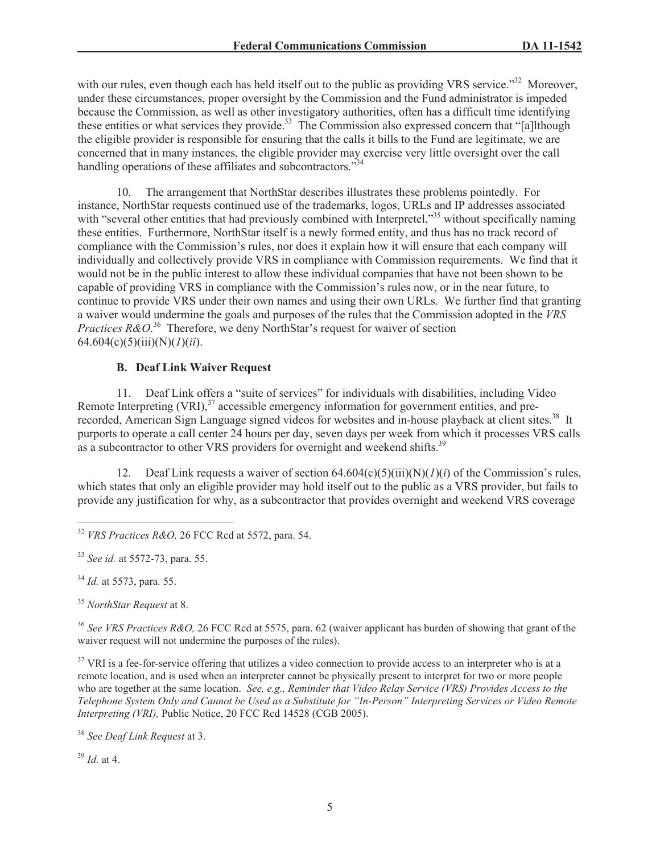with our rules, even though each has held itself out to the public as providing VRS service."<sup>32</sup> Moreover, under these circumstances, proper oversight by the Commission and the Fund administrator is impeded because the Commission, as well as other investigatory authorities, often has a difficult time identifying these entities or what services they provide.<sup>33</sup> The Commission also expressed concern that "[a]lthough the eligible provider is responsible for ensuring that the calls it bills to the Fund are legitimate, we are concerned that in many instances, the eligible provider may exercise very little oversight over the call handling operations of these affiliates and subcontractors."<sup>34</sup>

10. The arrangement that NorthStar describes illustrates these problems pointedly. For instance, NorthStar requests continued use of the trademarks, logos, URLs and IP addresses associated with "several other entities that had previously combined with Interpretel,"<sup>35</sup> without specifically naming these entities. Furthermore, NorthStar itself is a newly formed entity, and thus has no track record of compliance with the Commission's rules, nor does it explain how it will ensure that each company will individually and collectively provide VRS in compliance with Commission requirements. We find that it would not be in the public interest to allow these individual companies that have not been shown to be capable of providing VRS in compliance with the Commission's rules now, or in the near future, to continue to provide VRS under their own names and using their own URLs. We further find that granting a waiver would undermine the goals and purposes of the rules that the Commission adopted in the *VRS Practices R&O*.<sup>36</sup> Therefore, we deny NorthStar's request for waiver of section 64.604(c)(5)(iii)(N)(*1*)(*ii*).

## **B. Deaf Link Waiver Request**

11. Deaf Link offers a "suite of services" for individuals with disabilities, including Video Remote Interpreting  $(VRI)$ ,<sup>37</sup> accessible emergency information for government entities, and prerecorded, American Sign Language signed videos for websites and in-house playback at client sites.<sup>38</sup> It purports to operate a call center 24 hours per day, seven days per week from which it processes VRS calls as a subcontractor to other VRS providers for overnight and weekend shifts.<sup>39</sup>

12. Deaf Link requests a waiver of section  $64.604(c)(5)(iii)(N)(*I*)(*i*)$  of the Commission's rules, which states that only an eligible provider may hold itself out to the public as a VRS provider, but fails to provide any justification for why, as a subcontractor that provides overnight and weekend VRS coverage

<sup>34</sup> *Id.* at 5573, para. 55.

<sup>35</sup> *NorthStar Request* at 8.

<sup>36</sup> *See VRS Practices R&O,* 26 FCC Rcd at 5575, para. 62 (waiver applicant has burden of showing that grant of the waiver request will not undermine the purposes of the rules).

<sup>37</sup> VRI is a fee-for-service offering that utilizes a video connection to provide access to an interpreter who is at a remote location, and is used when an interpreter cannot be physically present to interpret for two or more people who are together at the same location. *See, e.g., Reminder that Video Relay Service (VRS) Provides Access to the Telephone System Only and Cannot be Used as a Substitute for "In-Person" Interpreting Services or Video Remote Interpreting (VRI), Public Notice, 20 FCC Rcd 14528 (CGB 2005).* 

<sup>38</sup> *See Deaf Link Request* at 3.

<sup>39</sup> *Id.* at 4.

<sup>32</sup> *VRS Practices R&O,* 26 FCC Rcd at 5572, para. 54.

<sup>33</sup> *See id.* at 5572-73, para. 55.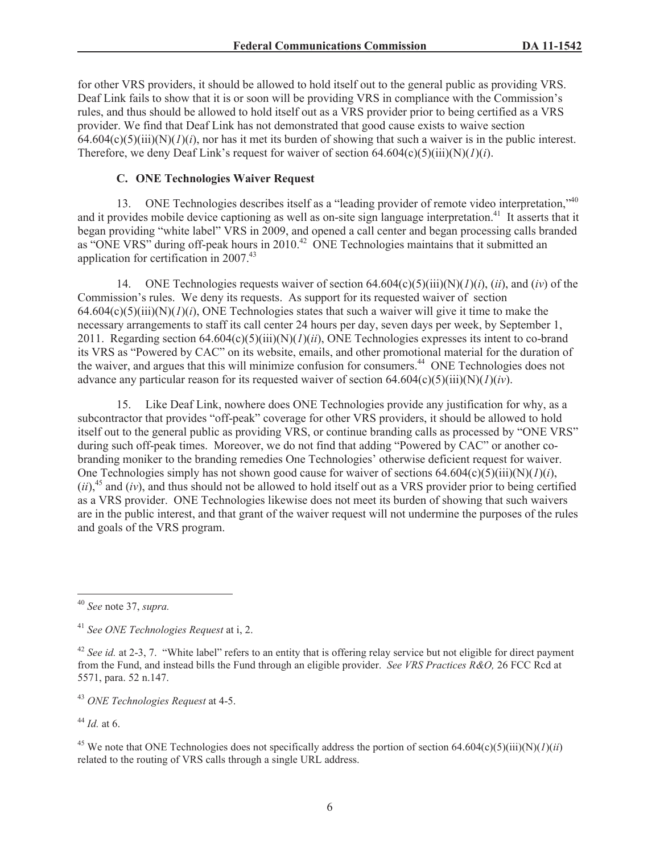for other VRS providers, it should be allowed to hold itself out to the general public as providing VRS. Deaf Link fails to show that it is or soon will be providing VRS in compliance with the Commission's rules, and thus should be allowed to hold itself out as a VRS provider prior to being certified as a VRS provider. We find that Deaf Link has not demonstrated that good cause exists to waive section  $64.604(c)(5)(iii)(N)(I)(i)$ , nor has it met its burden of showing that such a waiver is in the public interest. Therefore, we deny Deaf Link's request for waiver of section  $64.604(c)(5)(iii)(N)(*I*)(*i*).$ 

# **C. ONE Technologies Waiver Request**

13. ONE Technologies describes itself as a "leading provider of remote video interpretation,"<sup>40</sup> and it provides mobile device captioning as well as on-site sign language interpretation.<sup>41</sup> It asserts that it began providing "white label" VRS in 2009, and opened a call center and began processing calls branded as "ONE VRS" during off-peak hours in  $2010<sup>42</sup>$  ONE Technologies maintains that it submitted an application for certification in 2007.<sup>43</sup>

14. ONE Technologies requests waiver of section 64.604(c)(5)(iii)(N)(*1*)(*i*), (*ii*), and (*iv*) of the Commission's rules. We deny its requests. As support for its requested waiver of section  $64.604(c)(5)(iii)(N)(I)(i)$ , ONE Technologies states that such a waiver will give it time to make the necessary arrangements to staff its call center 24 hours per day, seven days per week, by September 1, 2011. Regarding section 64.604(c)(5)(iii)(N)(*1*)(*ii*), ONE Technologies expresses its intent to co-brand its VRS as "Powered by CAC" on its website, emails, and other promotional material for the duration of the waiver, and argues that this will minimize confusion for consumers.<sup>44</sup> ONE Technologies does not advance any particular reason for its requested waiver of section 64.604(c)(5)(iii)(N)(*1*)(*iv*).

15. Like Deaf Link, nowhere does ONE Technologies provide any justification for why, as a subcontractor that provides "off-peak" coverage for other VRS providers, it should be allowed to hold itself out to the general public as providing VRS, or continue branding calls as processed by "ONE VRS" during such off-peak times. Moreover, we do not find that adding "Powered by CAC" or another cobranding moniker to the branding remedies One Technologies' otherwise deficient request for waiver. One Technologies simply has not shown good cause for waiver of sections  $64.604(c)(5)(iii)(N)(*I*)(*i*),$  $(ii)$ ,<sup>45</sup> and  $(iv)$ , and thus should not be allowed to hold itself out as a VRS provider prior to being certified as a VRS provider. ONE Technologies likewise does not meet its burden of showing that such waivers are in the public interest, and that grant of the waiver request will not undermine the purposes of the rules and goals of the VRS program.

<sup>43</sup> *ONE Technologies Request* at 4-5.

<sup>44</sup> *Id.* at 6.

<sup>40</sup> *See* note 37, *supra.*

<sup>41</sup> *See ONE Technologies Request* at i, 2.

<sup>&</sup>lt;sup>42</sup> *See id.* at 2-3, 7. "White label" refers to an entity that is offering relay service but not eligible for direct payment from the Fund, and instead bills the Fund through an eligible provider. *See VRS Practices R&O,* 26 FCC Rcd at 5571, para. 52 n.147.

<sup>&</sup>lt;sup>45</sup> We note that ONE Technologies does not specifically address the portion of section 64.604(c)(5)(iii)(N)(*1*)(*ii*) related to the routing of VRS calls through a single URL address.